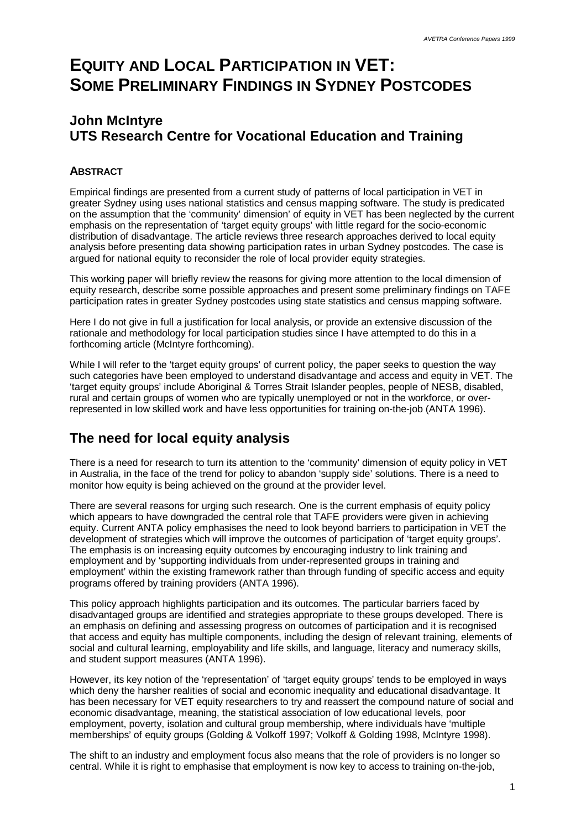# **EQUITY AND LOCAL PARTICIPATION IN VET: SOME PRELIMINARY FINDINGS IN SYDNEY POSTCODES**

### **John McIntyre UTS Research Centre for Vocational Education and Training**

### **ABSTRACT**

Empirical findings are presented from a current study of patterns of local participation in VET in greater Sydney using uses national statistics and census mapping software. The study is predicated on the assumption that the 'community' dimension' of equity in VET has been neglected by the current emphasis on the representation of 'target equity groups' with little regard for the socio-economic distribution of disadvantage. The article reviews three research approaches derived to local equity analysis before presenting data showing participation rates in urban Sydney postcodes. The case is argued for national equity to reconsider the role of local provider equity strategies.

This working paper will briefly review the reasons for giving more attention to the local dimension of equity research, describe some possible approaches and present some preliminary findings on TAFE participation rates in greater Sydney postcodes using state statistics and census mapping software.

Here I do not give in full a justification for local analysis, or provide an extensive discussion of the rationale and methodology for local participation studies since I have attempted to do this in a forthcoming article (McIntyre forthcoming).

While I will refer to the 'target equity groups' of current policy, the paper seeks to question the way such categories have been employed to understand disadvantage and access and equity in VET. The 'target equity groups' include Aboriginal & Torres Strait Islander peoples, people of NESB, disabled, rural and certain groups of women who are typically unemployed or not in the workforce, or overrepresented in low skilled work and have less opportunities for training on-the-job (ANTA 1996).

# **The need for local equity analysis**

There is a need for research to turn its attention to the 'community' dimension of equity policy in VET in Australia, in the face of the trend for policy to abandon 'supply side' solutions. There is a need to monitor how equity is being achieved on the ground at the provider level.

There are several reasons for urging such research. One is the current emphasis of equity policy which appears to have downgraded the central role that TAFE providers were given in achieving equity. Current ANTA policy emphasises the need to look beyond barriers to participation in VET the development of strategies which will improve the outcomes of participation of 'target equity groups'. The emphasis is on increasing equity outcomes by encouraging industry to link training and employment and by 'supporting individuals from under-represented groups in training and employment' within the existing framework rather than through funding of specific access and equity programs offered by training providers (ANTA 1996).

This policy approach highlights participation and its outcomes. The particular barriers faced by disadvantaged groups are identified and strategies appropriate to these groups developed. There is an emphasis on defining and assessing progress on outcomes of participation and it is recognised that access and equity has multiple components, including the design of relevant training, elements of social and cultural learning, employability and life skills, and language, literacy and numeracy skills, and student support measures (ANTA 1996).

However, its key notion of the 'representation' of 'target equity groups' tends to be employed in ways which deny the harsher realities of social and economic inequality and educational disadvantage. It has been necessary for VET equity researchers to try and reassert the compound nature of social and economic disadvantage, meaning, the statistical association of low educational levels, poor employment, poverty, isolation and cultural group membership, where individuals have 'multiple memberships' of equity groups (Golding & Volkoff 1997; Volkoff & Golding 1998, McIntyre 1998).

The shift to an industry and employment focus also means that the role of providers is no longer so central. While it is right to emphasise that employment is now key to access to training on-the-job,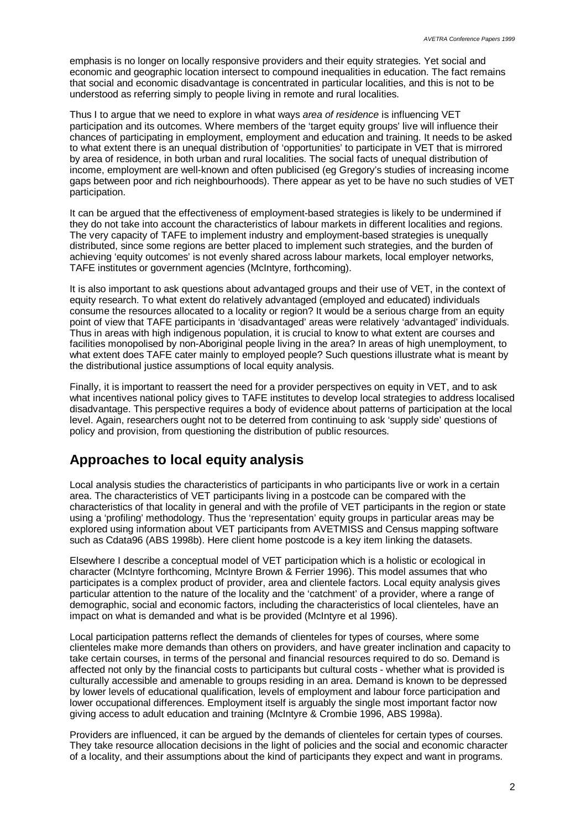emphasis is no longer on locally responsive providers and their equity strategies. Yet social and economic and geographic location intersect to compound inequalities in education. The fact remains that social and economic disadvantage is concentrated in particular localities, and this is not to be understood as referring simply to people living in remote and rural localities.

Thus I to argue that we need to explore in what ways *area of residence* is influencing VET participation and its outcomes. Where members of the 'target equity groups' live will influence their chances of participating in employment, employment and education and training. It needs to be asked to what extent there is an unequal distribution of 'opportunities' to participate in VET that is mirrored by area of residence, in both urban and rural localities. The social facts of unequal distribution of income, employment are well-known and often publicised (eg Gregory's studies of increasing income gaps between poor and rich neighbourhoods). There appear as yet to be have no such studies of VET participation.

It can be argued that the effectiveness of employment-based strategies is likely to be undermined if they do not take into account the characteristics of labour markets in different localities and regions. The very capacity of TAFE to implement industry and employment-based strategies is unequally distributed, since some regions are better placed to implement such strategies, and the burden of achieving 'equity outcomes' is not evenly shared across labour markets, local employer networks, TAFE institutes or government agencies (McIntyre, forthcoming).

It is also important to ask questions about advantaged groups and their use of VET, in the context of equity research. To what extent do relatively advantaged (employed and educated) individuals consume the resources allocated to a locality or region? It would be a serious charge from an equity point of view that TAFE participants in 'disadvantaged' areas were relatively 'advantaged' individuals. Thus in areas with high indigenous population, it is crucial to know to what extent are courses and facilities monopolised by non-Aboriginal people living in the area? In areas of high unemployment, to what extent does TAFE cater mainly to employed people? Such questions illustrate what is meant by the distributional justice assumptions of local equity analysis.

Finally, it is important to reassert the need for a provider perspectives on equity in VET, and to ask what incentives national policy gives to TAFE institutes to develop local strategies to address localised disadvantage. This perspective requires a body of evidence about patterns of participation at the local level. Again, researchers ought not to be deterred from continuing to ask 'supply side' questions of policy and provision, from questioning the distribution of public resources.

### **Approaches to local equity analysis**

Local analysis studies the characteristics of participants in who participants live or work in a certain area. The characteristics of VET participants living in a postcode can be compared with the characteristics of that locality in general and with the profile of VET participants in the region or state using a 'profiling' methodology. Thus the 'representation' equity groups in particular areas may be explored using information about VET participants from AVETMISS and Census mapping software such as Cdata96 (ABS 1998b). Here client home postcode is a key item linking the datasets.

Elsewhere I describe a conceptual model of VET participation which is a holistic or ecological in character (McIntyre forthcoming, McIntyre Brown & Ferrier 1996). This model assumes that who participates is a complex product of provider, area and clientele factors. Local equity analysis gives particular attention to the nature of the locality and the 'catchment' of a provider, where a range of demographic, social and economic factors, including the characteristics of local clienteles, have an impact on what is demanded and what is be provided (McIntyre et al 1996).

Local participation patterns reflect the demands of clienteles for types of courses, where some clienteles make more demands than others on providers, and have greater inclination and capacity to take certain courses, in terms of the personal and financial resources required to do so. Demand is affected not only by the financial costs to participants but cultural costs - whether what is provided is culturally accessible and amenable to groups residing in an area. Demand is known to be depressed by lower levels of educational qualification, levels of employment and labour force participation and lower occupational differences. Employment itself is arguably the single most important factor now giving access to adult education and training (McIntyre & Crombie 1996, ABS 1998a).

Providers are influenced, it can be argued by the demands of clienteles for certain types of courses. They take resource allocation decisions in the light of policies and the social and economic character of a locality, and their assumptions about the kind of participants they expect and want in programs.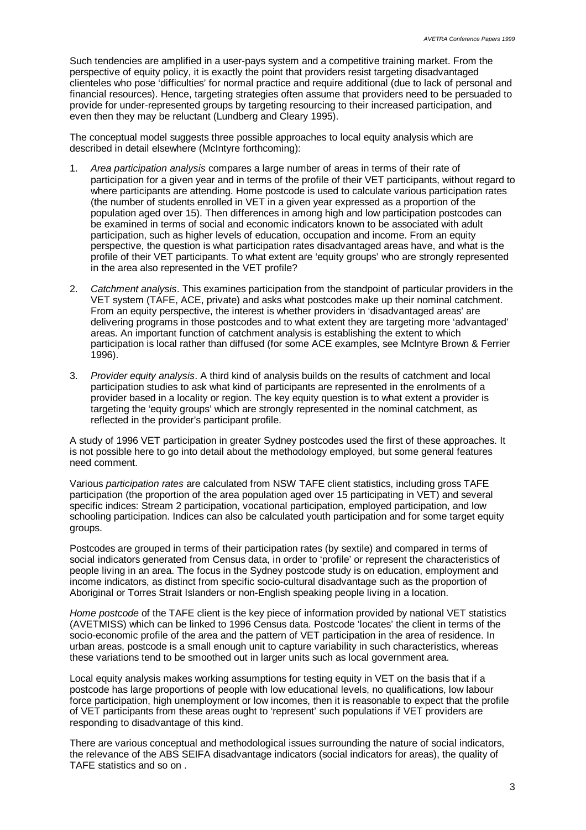Such tendencies are amplified in a user-pays system and a competitive training market. From the perspective of equity policy, it is exactly the point that providers resist targeting disadvantaged clienteles who pose 'difficulties' for normal practice and require additional (due to lack of personal and financial resources). Hence, targeting strategies often assume that providers need to be persuaded to provide for under-represented groups by targeting resourcing to their increased participation, and even then they may be reluctant (Lundberg and Cleary 1995).

The conceptual model suggests three possible approaches to local equity analysis which are described in detail elsewhere (McIntyre forthcoming):

- 1. *Area participation analysis* compares a large number of areas in terms of their rate of participation for a given year and in terms of the profile of their VET participants, without regard to where participants are attending. Home postcode is used to calculate various participation rates (the number of students enrolled in VET in a given year expressed as a proportion of the population aged over 15). Then differences in among high and low participation postcodes can be examined in terms of social and economic indicators known to be associated with adult participation, such as higher levels of education, occupation and income. From an equity perspective, the question is what participation rates disadvantaged areas have, and what is the profile of their VET participants. To what extent are 'equity groups' who are strongly represented in the area also represented in the VET profile?
- 2. *Catchment analysis*. This examines participation from the standpoint of particular providers in the VET system (TAFE, ACE, private) and asks what postcodes make up their nominal catchment. From an equity perspective, the interest is whether providers in 'disadvantaged areas' are delivering programs in those postcodes and to what extent they are targeting more 'advantaged' areas. An important function of catchment analysis is establishing the extent to which participation is local rather than diffused (for some ACE examples, see McIntyre Brown & Ferrier 1996).
- 3. *Provider equity analysis*. A third kind of analysis builds on the results of catchment and local participation studies to ask what kind of participants are represented in the enrolments of a provider based in a locality or region. The key equity question is to what extent a provider is targeting the 'equity groups' which are strongly represented in the nominal catchment, as reflected in the provider's participant profile.

A study of 1996 VET participation in greater Sydney postcodes used the first of these approaches. It is not possible here to go into detail about the methodology employed, but some general features need comment.

Various *participation rates* are calculated from NSW TAFE client statistics, including gross TAFE participation (the proportion of the area population aged over 15 participating in VET) and several specific indices: Stream 2 participation, vocational participation, employed participation, and low schooling participation. Indices can also be calculated youth participation and for some target equity groups.

Postcodes are grouped in terms of their participation rates (by sextile) and compared in terms of social indicators generated from Census data, in order to 'profile' or represent the characteristics of people living in an area. The focus in the Sydney postcode study is on education, employment and income indicators, as distinct from specific socio-cultural disadvantage such as the proportion of Aboriginal or Torres Strait Islanders or non-English speaking people living in a location.

*Home postcode* of the TAFE client is the key piece of information provided by national VET statistics (AVETMISS) which can be linked to 1996 Census data. Postcode 'locates' the client in terms of the socio-economic profile of the area and the pattern of VET participation in the area of residence. In urban areas, postcode is a small enough unit to capture variability in such characteristics, whereas these variations tend to be smoothed out in larger units such as local government area.

Local equity analysis makes working assumptions for testing equity in VET on the basis that if a postcode has large proportions of people with low educational levels, no qualifications, low labour force participation, high unemployment or low incomes, then it is reasonable to expect that the profile of VET participants from these areas ought to 'represent' such populations if VET providers are responding to disadvantage of this kind.

There are various conceptual and methodological issues surrounding the nature of social indicators, the relevance of the ABS SEIFA disadvantage indicators (social indicators for areas), the quality of TAFE statistics and so on .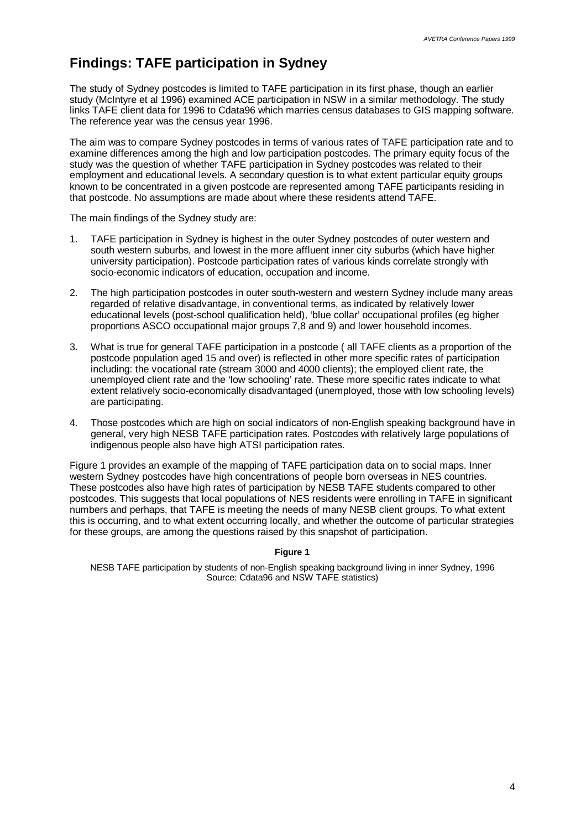## **Findings: TAFE participation in Sydney**

The study of Sydney postcodes is limited to TAFE participation in its first phase, though an earlier study (McIntyre et al 1996) examined ACE participation in NSW in a similar methodology. The study links TAFE client data for 1996 to Cdata96 which marries census databases to GIS mapping software. The reference year was the census year 1996.

The aim was to compare Sydney postcodes in terms of various rates of TAFE participation rate and to examine differences among the high and low participation postcodes. The primary equity focus of the study was the question of whether TAFE participation in Sydney postcodes was related to their employment and educational levels. A secondary question is to what extent particular equity groups known to be concentrated in a given postcode are represented among TAFE participants residing in that postcode. No assumptions are made about where these residents attend TAFE.

The main findings of the Sydney study are:

- 1. TAFE participation in Sydney is highest in the outer Sydney postcodes of outer western and south western suburbs, and lowest in the more affluent inner city suburbs (which have higher university participation). Postcode participation rates of various kinds correlate strongly with socio-economic indicators of education, occupation and income.
- 2. The high participation postcodes in outer south-western and western Sydney include many areas regarded of relative disadvantage, in conventional terms, as indicated by relatively lower educational levels (post-school qualification held), 'blue collar' occupational profiles (eg higher proportions ASCO occupational major groups 7,8 and 9) and lower household incomes.
- 3. What is true for general TAFE participation in a postcode ( all TAFE clients as a proportion of the postcode population aged 15 and over) is reflected in other more specific rates of participation including: the vocational rate (stream 3000 and 4000 clients); the employed client rate, the unemployed client rate and the 'low schooling' rate. These more specific rates indicate to what extent relatively socio-economically disadvantaged (unemployed, those with low schooling levels) are participating.
- 4. Those postcodes which are high on social indicators of non-English speaking background have in general, very high NESB TAFE participation rates. Postcodes with relatively large populations of indigenous people also have high ATSI participation rates.

Figure 1 provides an example of the mapping of TAFE participation data on to social maps. Inner western Sydney postcodes have high concentrations of people born overseas in NES countries. These postcodes also have high rates of participation by NESB TAFE students compared to other postcodes. This suggests that local populations of NES residents were enrolling in TAFE in significant numbers and perhaps, that TAFE is meeting the needs of many NESB client groups. To what extent this is occurring, and to what extent occurring locally, and whether the outcome of particular strategies for these groups, are among the questions raised by this snapshot of participation.

#### **Figure 1**

NESB TAFE participation by students of non-English speaking background living in inner Sydney, 1996 Source: Cdata96 and NSW TAFE statistics)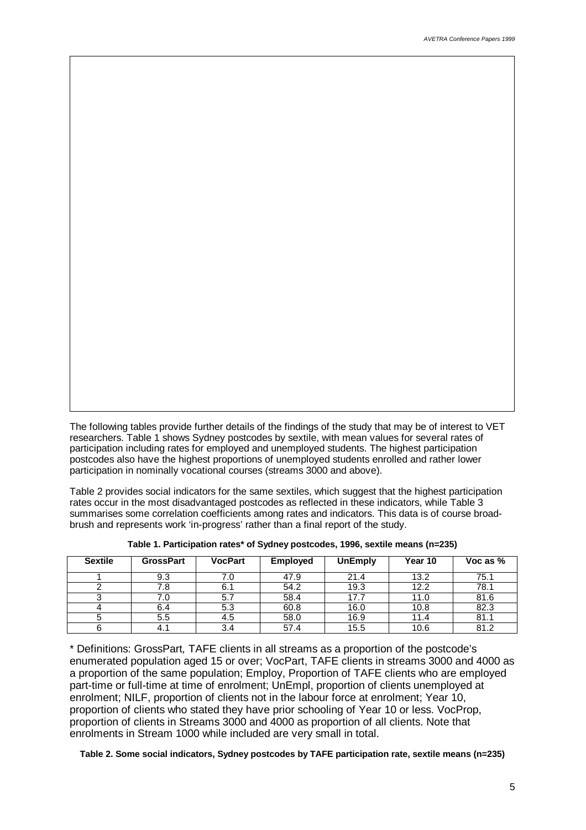The following tables provide further details of the findings of the study that may be of interest to VET researchers. Table 1 shows Sydney postcodes by sextile, with mean values for several rates of participation including rates for employed and unemployed students. The highest participation postcodes also have the highest proportions of unemployed students enrolled and rather lower participation in nominally vocational courses (streams 3000 and above).

Table 2 provides social indicators for the same sextiles, which suggest that the highest participation rates occur in the most disadvantaged postcodes as reflected in these indicators, while Table 3 summarises some correlation coefficients among rates and indicators. This data is of course broadbrush and represents work 'in-progress' rather than a final report of the study.

| <b>Sextile</b> | <b>GrossPart</b> | <b>VocPart</b> | <b>Employed</b> | <b>UnEmply</b> | Year 10 | Voc as $%$ |
|----------------|------------------|----------------|-----------------|----------------|---------|------------|
|                | 9.3              | 7.0            | 47.9            | 21.4           | 13.2    | 75.1       |
|                | 7.8              | 6.1            | 54.2            | 19.3           | 12.2    | 78.1       |
|                | 7.0              | 5.7            | 58.4            | 17.7           | 11.0    | 81.6       |
|                | 6.4              | 5.3            | 60.8            | 16.0           | 10.8    | 82.3       |
|                | 5.5              | 4.5            | 58.0            | 16.9           | 11.4    | 81.1       |
|                | 4.1              | 3.4            | 57.4            | 15.5           | 10.6    | 81.2       |

**Table 1. Participation rates\* of Sydney postcodes, 1996, sextile means (n=235)**

\* Definitions: GrossPart*,* TAFE clients in all streams as a proportion of the postcode's enumerated population aged 15 or over; VocPart, TAFE clients in streams 3000 and 4000 as a proportion of the same population; Employ, Proportion of TAFE clients who are employed part-time or full-time at time of enrolment; UnEmpl, proportion of clients unemployed at enrolment; NILF, proportion of clients not in the labour force at enrolment; Year 10, proportion of clients who stated they have prior schooling of Year 10 or less. VocProp, proportion of clients in Streams 3000 and 4000 as proportion of all clients. Note that enrolments in Stream 1000 while included are very small in total.

#### **Table 2. Some social indicators, Sydney postcodes by TAFE participation rate, sextile means (n=235)**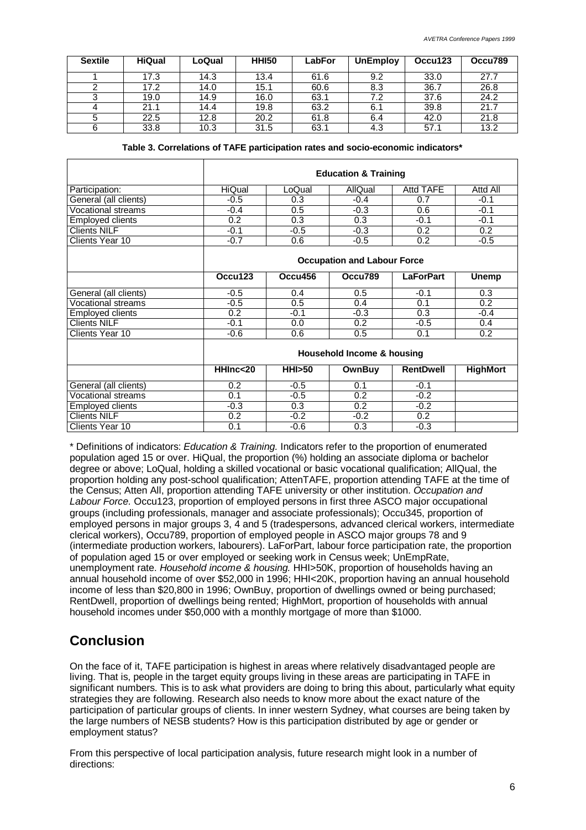| <b>Sextile</b> | <b>HiQual</b> | LoQual | <b>HHI50</b> | LabFor | <b>UnEmploy</b> | Occu123 | Occu789 |
|----------------|---------------|--------|--------------|--------|-----------------|---------|---------|
|                | 17.3          | 14.3   | 13.4         | 61.6   | 9.2             | 33.0    | 27.7    |
|                | 17.2          | 14.0   | 15.1         | 60.6   | 8.3             | 36.7    | 26.8    |
| ົ              | 19.0          | 14.9   | 16.0         | 63.1   | 7.2             | 37.6    | 24.2    |
| 4              | 21.1          | 14.4   | 19.8         | 63.2   | 6.1             | 39.8    | 21.7    |
| 5              | 22.5          | 12.8   | 20.2         | 61.8   | 6.4             | 42.0    | 21.8    |
| 6              | 33.8          | 10.3   | 31.5         | 63.1   | 4.3             | 57.1    | 13.2    |

|  |  | Table 3. Correlations of TAFE participation rates and socio-economic indicators $^\star$ |  |
|--|--|------------------------------------------------------------------------------------------|--|
|  |  |                                                                                          |  |

|                           | <b>Education &amp; Training</b>    |                |               |                  |                 |  |
|---------------------------|------------------------------------|----------------|---------------|------------------|-----------------|--|
| Participation:            | HiQual                             | LoQual         | AllQual       | Attd TAFE        | Attd All        |  |
| General (all clients)     | $-0.5$                             | 0.3            | $-0.4$        | 0.7              | $-0.1$          |  |
| <b>Vocational streams</b> | $-0.4$                             | 0.5            | $-0.3$        | 0.6              | $-0.1$          |  |
| <b>Employed clients</b>   | 0.2                                | 0.3            | 0.3           | $-0.1$           | $-0.1$          |  |
| <b>Clients NILF</b>       | $-0.1$                             | $-0.5$         | $-0.3$        | 0.2              | 0.2             |  |
| Clients Year 10           | $-0.7$                             | 0.6            | $-0.5$        | 0.2              | $-0.5$          |  |
|                           | <b>Occupation and Labour Force</b> |                |               |                  |                 |  |
|                           | Occu123                            | Occu456        | Occu789       | <b>LaForPart</b> | <b>Unemp</b>    |  |
| General (all clients)     | $-0.5$                             | 0.4            | 0.5           | $-0.1$           | 0.3             |  |
| <b>Vocational streams</b> | $-0.5$                             | 0.5            | 0.4           | 0.1              | 0.2             |  |
| <b>Employed clients</b>   | 0.2                                | $-0.1$         | $-0.3$        | 0.3              | $-0.4$          |  |
| <b>Clients NILF</b>       | $-0.1$                             | 0.0            | 0.2           | $-0.5$           | 0.4             |  |
| Clients Year 10           | $-0.6$                             | 0.6            | 0.5           | 0.1              | 0.2             |  |
|                           | Household Income & housing         |                |               |                  |                 |  |
|                           | HHInc<20                           | <b>HHI</b> >50 | <b>OwnBuy</b> | <b>RentDwell</b> | <b>HighMort</b> |  |
| General (all clients)     | 0.2                                | $-0.5$         | 0.1           | $-0.1$           |                 |  |
| <b>Vocational streams</b> | 0.1                                | $-0.5$         | 0.2           | $-0.2$           |                 |  |
| Employed clients          | $-0.3$                             | 0.3            | 0.2           | $-0.2$           |                 |  |
| <b>Clients NILF</b>       | 0.2                                | $-0.2$         | $-0.2$        | 0.2              |                 |  |
| Clients Year 10           | 0.1                                | $-0.6$         | 0.3           | $-0.3$           |                 |  |

\* Definitions of indicators: *Education & Training.* Indicators refer to the proportion of enumerated population aged 15 or over. HiQual, the proportion (%) holding an associate diploma or bachelor degree or above; LoQual, holding a skilled vocational or basic vocational qualification; AllQual, the proportion holding any post-school qualification; AttenTAFE, proportion attending TAFE at the time of the Census; Atten All, proportion attending TAFE university or other institution. *Occupation and Labour Force.* Occu123, proportion of employed persons in first three ASCO major occupational groups (including professionals, manager and associate professionals); Occu345, proportion of employed persons in major groups 3, 4 and 5 (tradespersons, advanced clerical workers, intermediate clerical workers), Occu789, proportion of employed people in ASCO major groups 78 and 9 (intermediate production workers, labourers). LaForPart, labour force participation rate, the proportion of population aged 15 or over employed or seeking work in Census week; UnEmpRate, unemployment rate. *Household income & housing.* HHI>50K, proportion of households having an annual household income of over \$52,000 in 1996; HHI<20K, proportion having an annual household income of less than \$20,800 in 1996; OwnBuy, proportion of dwellings owned or being purchased; RentDwell, proportion of dwellings being rented; HighMort, proportion of households with annual household incomes under \$50,000 with a monthly mortgage of more than \$1000.

# **Conclusion**

On the face of it, TAFE participation is highest in areas where relatively disadvantaged people are living. That is, people in the target equity groups living in these areas are participating in TAFE in significant numbers. This is to ask what providers are doing to bring this about, particularly what equity strategies they are following. Research also needs to know more about the exact nature of the participation of particular groups of clients. In inner western Sydney, what courses are being taken by the large numbers of NESB students? How is this participation distributed by age or gender or employment status?

From this perspective of local participation analysis, future research might look in a number of directions: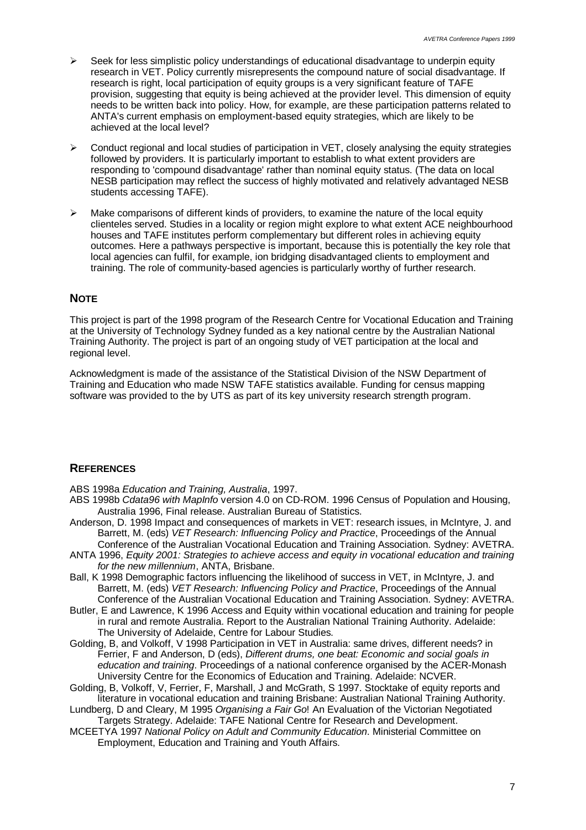- $\geq$  Seek for less simplistic policy understandings of educational disadvantage to underpin equity research in VET. Policy currently misrepresents the compound nature of social disadvantage. If research is right, local participation of equity groups is a very significant feature of TAFE provision, suggesting that equity is being achieved at the provider level. This dimension of equity needs to be written back into policy. How, for example, are these participation patterns related to ANTA's current emphasis on employment-based equity strategies, which are likely to be achieved at the local level?
- $\triangleright$  Conduct regional and local studies of participation in VET, closely analysing the equity strategies followed by providers. It is particularly important to establish to what extent providers are responding to 'compound disadvantage' rather than nominal equity status. (The data on local NESB participation may reflect the success of highly motivated and relatively advantaged NESB students accessing TAFE).
- $\triangleright$  Make comparisons of different kinds of providers, to examine the nature of the local equity clienteles served. Studies in a locality or region might explore to what extent ACE neighbourhood houses and TAFE institutes perform complementary but different roles in achieving equity outcomes. Here a pathways perspective is important, because this is potentially the key role that local agencies can fulfil, for example, ion bridging disadvantaged clients to employment and training. The role of community-based agencies is particularly worthy of further research.

### **NOTE**

This project is part of the 1998 program of the Research Centre for Vocational Education and Training at the University of Technology Sydney funded as a key national centre by the Australian National Training Authority. The project is part of an ongoing study of VET participation at the local and regional level.

Acknowledgment is made of the assistance of the Statistical Division of the NSW Department of Training and Education who made NSW TAFE statistics available. Funding for census mapping software was provided to the by UTS as part of its key university research strength program.

### **REFERENCES**

ABS 1998a *Education and Training, Australia*, 1997.

- ABS 1998b *Cdata96 with MapInfo* version 4.0 on CD-ROM. 1996 Census of Population and Housing, Australia 1996, Final release. Australian Bureau of Statistics.
- Anderson, D. 1998 Impact and consequences of markets in VET: research issues, in McIntyre, J. and Barrett, M. (eds) *VET Research: Influencing Policy and Practice*, Proceedings of the Annual
- Conference of the Australian Vocational Education and Training Association. Sydney: AVETRA. ANTA 1996, *Equity 2001: Strategies to achieve access and equity in vocational education and training for the new millennium*, ANTA, Brisbane.
- Ball, K 1998 Demographic factors influencing the likelihood of success in VET, in McIntyre, J. and Barrett, M. (eds) *VET Research: Influencing Policy and Practice*, Proceedings of the Annual Conference of the Australian Vocational Education and Training Association. Sydney: AVETRA.
- Butler, E and Lawrence, K 1996 Access and Equity within vocational education and training for people in rural and remote Australia. Report to the Australian National Training Authority. Adelaide: The University of Adelaide, Centre for Labour Studies.
- Golding, B, and Volkoff, V 1998 Participation in VET in Australia: same drives, different needs? in Ferrier, F and Anderson, D (eds), *Different drums, one beat: Economic and social goals in education and training*. Proceedings of a national conference organised by the ACER-Monash University Centre for the Economics of Education and Training. Adelaide: NCVER.
- Golding, B, Volkoff, V, Ferrier, F, Marshall, J and McGrath, S 1997. Stocktake of equity reports and literature in vocational education and training Brisbane: Australian National Training Authority.
- Lundberg, D and Cleary, M 1995 *Organising a Fair Go*! An Evaluation of the Victorian Negotiated Targets Strategy. Adelaide: TAFE National Centre for Research and Development.
- MCEETYA 1997 *National Policy on Adult and Community Education*. Ministerial Committee on Employment, Education and Training and Youth Affairs.